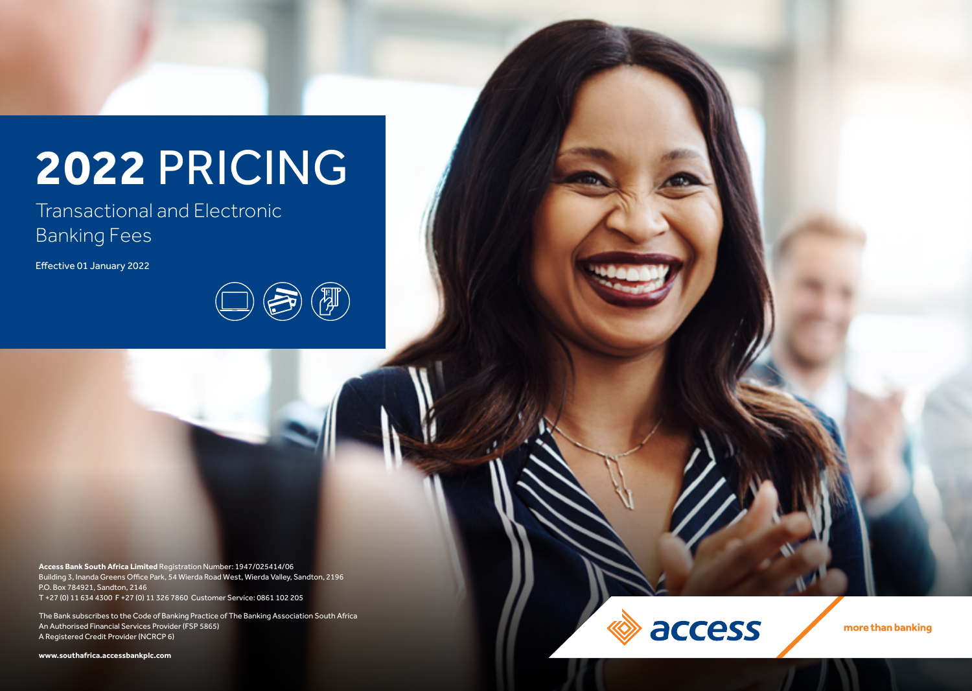# **2022** PRICING

Transactional and Electronic Banking Fees

Effective 01 January 2022



**Access Bank South Africa Limited** Registration Number: 1947/025414/06 Building 3, Inanda Greens Office Park, 54 Wierda Road West, Wierda Valley, Sandton, 2196 P.O. Box 784921, Sandton, 2146 T +27 (0) 11 634 4300 F +27 (0) 11 326 7860 Customer Service: 0861 102 205

The Bank subscribes to the Code of Banking Practice of The Banking Association South Africa An Authorised Financial Services Provider (FSP 5865) A Registered Credit Provider (NCRCP 6)

**www.southafrica.accessbankplc.com**



more than banking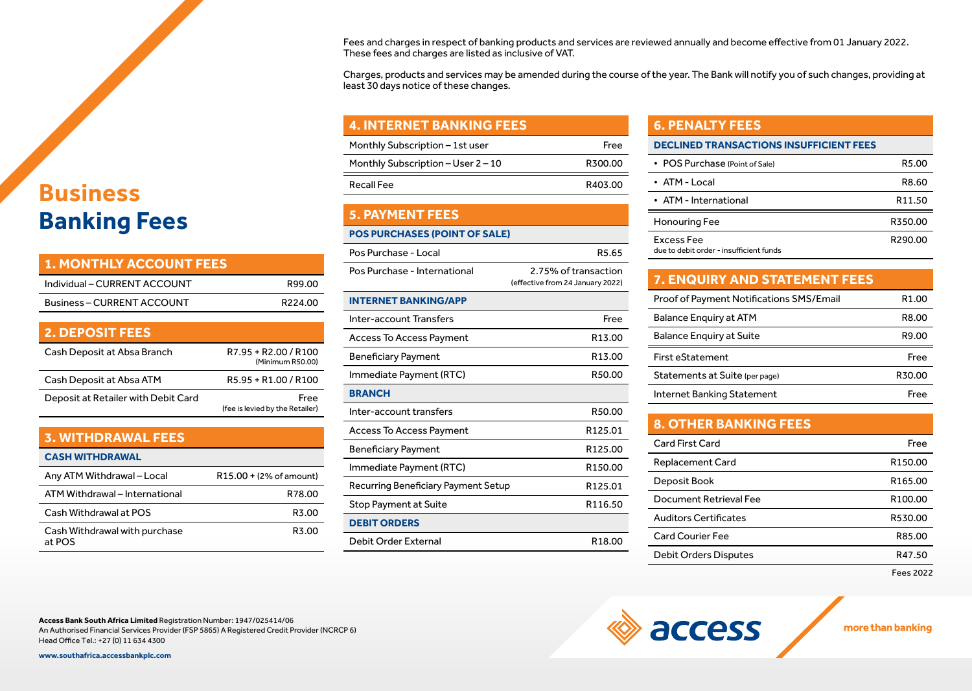### **Business Banking Fees**

| <b>1. MONTHLY ACCOUNT FEES</b>      |                                          |
|-------------------------------------|------------------------------------------|
| Individual – CURRENT ACCOUNT        | R99.00                                   |
| <b>Business-CURRENT ACCOUNT</b>     | R224.00                                  |
|                                     |                                          |
| <b>2. DEPOSIT FEES</b>              |                                          |
| Cash Deposit at Absa Branch         | R7.95 + R2.00 / R100<br>(Minimum R50.00) |
| Cash Deposit at Absa ATM            | R5.95 + R1.00 / R100                     |
| Deposit at Retailer with Debit Card | Free<br>(fee is levied by the Retailer)  |

| <b>3. WITHDRAWAL FEES</b>               |                         |
|-----------------------------------------|-------------------------|
| <b>CASH WITHDRAWAL</b>                  |                         |
| Any ATM Withdrawal - Local              | R15.00 + (2% of amount) |
| ATM Withdrawal - International          | R78.00                  |
| Cash Withdrawal at POS                  | R3.00                   |
| Cash Withdrawal with purchase<br>at POS | R3.00                   |

Fees and charges in respect of banking products and services are reviewed annually and become effective from 01 January 2022. These fees and charges are listed as inclusive of VAT.

Charges, products and services may be amended during the course of the year. The Bank will notify you of such changes, providing at least 30 days notice of these changes.

#### **4. INTERNET BANKING FEES**

| Monthly Subscription – 1st user    | Free    |
|------------------------------------|---------|
| Monthly Subscription – User 2 – 10 | R300.00 |
| <b>Recall Fee</b>                  | R403.00 |

#### **5. PAYMENT FEES**

#### **POS PURCHASES (POINT OF SALE)**

| Pos Purchase - Local                | R5.65                                                    |
|-------------------------------------|----------------------------------------------------------|
| Pos Purchase - International        | 2.75% of transaction<br>(effective from 24 January 2022) |
| <b>INTERNET BANKING/APP</b>         |                                                          |
| Inter-account Transfers             | Free                                                     |
| Access To Access Payment            | R13.00                                                   |
| <b>Beneficiary Payment</b>          | R13.00                                                   |
| Immediate Payment (RTC)             | R50.00                                                   |
| <b>BRANCH</b>                       |                                                          |
| Inter-account transfers             | R50.00                                                   |
| Access To Access Payment            | R125.01                                                  |
| <b>Beneficiary Payment</b>          | R125.00                                                  |
| Immediate Payment (RTC)             | R <sub>150.00</sub>                                      |
| Recurring Beneficiary Payment Setup | R125.01                                                  |
| Stop Payment at Suite               | R <sub>116.50</sub>                                      |
| <b>DEBIT ORDERS</b>                 |                                                          |
| Debit Order External                | R18.00                                                   |

#### **6. PENALTY FEES**

| • POS Purchase (Point of Sale)                        | R <sub>5</sub> .00 |
|-------------------------------------------------------|--------------------|
| • ATM - Local                                         | R8.60              |
| • ATM - International                                 | R <sub>11.50</sub> |
| Honouring Fee                                         | R350.00            |
| Excess Fee<br>due to debit order - insufficient funds | R290.00            |

#### **7. ENQUIRY AND STATEMENT FEES**

| <b>Proof of Payment Notifications SMS/Email</b> | R <sub>1.00</sub> |
|-------------------------------------------------|-------------------|
| <b>Balance Enguiry at ATM</b>                   | R8.00             |
| <b>Balance Enguiry at Suite</b>                 | R9.00             |
|                                                 |                   |
| <b>First eStatement</b>                         | Free              |
| Statements at Suite (per page)                  | R30.00            |

### **8. OTHER BANKING FEES**

access

| Card First Card              | Free                |
|------------------------------|---------------------|
| <b>Replacement Card</b>      | R <sub>150.00</sub> |
| Deposit Book                 | R <sub>165.00</sub> |
| Document Retrieval Fee       | R <sub>100.00</sub> |
| <b>Auditors Certificates</b> | R530.00             |
| Card Courier Fee             | R85.00              |
| <b>Debit Orders Disputes</b> | R47.50              |
|                              |                     |

Fees 2022

more than banking

**Access Bank South Africa Limited** Registration Number: 1947/025414/06 An Authorised Financial Services Provider (FSP 5865) A Registered Credit Provider (NCRCP 6) Head Office Tel.: +27 (0) 11 634 4300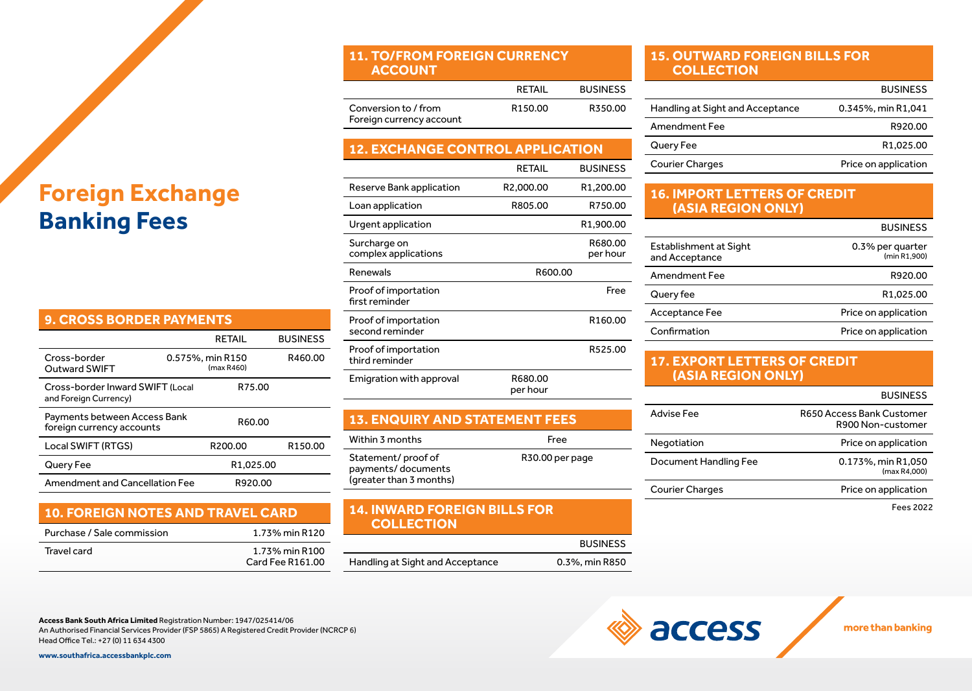## **Foreign Exchange Banking Fees**

| <b>9. CROSS BORDER PAYMENTS</b>                           |                                |                     |  |
|-----------------------------------------------------------|--------------------------------|---------------------|--|
|                                                           | RETAIL                         | <b>BUSINESS</b>     |  |
| Cross-border<br><b>Outward SWIFT</b>                      | 0.575%, min R150<br>(max R460) | R460.00             |  |
| Cross-border Inward SWIFT (Local<br>and Foreign Currency) | R75.00                         |                     |  |
| Payments between Access Bank<br>foreign currency accounts | R60.00                         |                     |  |
| Local SWIFT (RTGS)                                        | R200.00                        | R <sub>150.00</sub> |  |
| Query Fee                                                 | R <sub>1.025.00</sub>          |                     |  |
| Amendment and Cancellation Fee                            | R920.00                        |                     |  |

### **10. FOREIGN NOTES AND TRAVEL CARD**

| Purchase / Sale commission | 1.73% min R120                     |  |
|----------------------------|------------------------------------|--|
| Travel card                | 1.73% min R100<br>Card Fee R161.00 |  |

#### **11. TO/FROM FOREIGN CURRENCY ACCOUNT**

|                                                  | RETAIL              | <b>BUSINESS</b> |
|--------------------------------------------------|---------------------|-----------------|
| Conversion to / from<br>Foreign currency account | R <sub>150.00</sub> | R350.00         |

### **12. EXCHANGE CONTROL APPLICATION**

|                                         | RETAIL              | <b>BUSINESS</b>        |
|-----------------------------------------|---------------------|------------------------|
| Reserve Bank application                | R2,000.00           | R <sub>1</sub> ,200.00 |
| Loan application                        | R805.00             | R750.00                |
| Urgent application                      |                     | R <sub>1</sub> ,900.00 |
| Surcharge on<br>complex applications    |                     | R680.00<br>per hour    |
| Renewals                                | R600.00             |                        |
| Proof of importation<br>first reminder  |                     | Free                   |
| Proof of importation<br>second reminder |                     | R <sub>160.00</sub>    |
| Proof of importation<br>third reminder  |                     | R525.00                |
| Emigration with approval                | R680.00<br>per hour |                        |

| <b>13. ENQUIRY AND STATEMENT FEES</b> |      |
|---------------------------------------|------|
| Within 3 months                       | Free |

| Statement/proof of      | R30.00 per page |
|-------------------------|-----------------|
| payments/documents      |                 |
| (greater than 3 months) |                 |
|                         |                 |

#### **14. INWARD FOREIGN BILLS FOR COLLECTION**

|                                  | <b>BUSINESS</b> |
|----------------------------------|-----------------|
| Handling at Sight and Acceptance | 0.3%, min R850  |

#### **15. OUTWARD FOREIGN BILLS FOR COLLECTION**

|                                  | <b>BUSINESS</b>       |
|----------------------------------|-----------------------|
| Handling at Sight and Acceptance | 0.345%, min R1,041    |
| Amendment Fee                    | R920.00               |
| Query Fee                        | R <sub>1.025.00</sub> |
| <b>Courier Charges</b>           | Price on application  |

#### **16. IMPORT LETTERS OF CREDIT (ASIA REGION ONLY)**

|                                          | <b>BUSINESS</b>                  |
|------------------------------------------|----------------------------------|
| Establishment at Sight<br>and Acceptance | 0.3% per quarter<br>(min R1.900) |
| Amendment Fee                            | R920.00                          |
| Query fee                                | R1,025.00                        |
| Acceptance Fee                           | Price on application             |
| Confirmation                             | Price on application             |

#### **17. EXPORT LETTERS OF CREDIT (ASIA REGION ONLY)**

access

#### BUSINESS

| Advise Fee             | R650 Access Bank Customer<br>R900 Non-customer |
|------------------------|------------------------------------------------|
| Negotiation            | Price on application                           |
| Document Handling Fee  | 0.173%, min R1,050<br>(max R4.000)             |
| <b>Courier Charges</b> | Price on application                           |
|                        |                                                |

Fees 2022

more than banking

**Access Bank South Africa Limited** Registration Number: 1947/025414/06 An Authorised Financial Services Provider (FSP 5865) A Registered Credit Provider (NCRCP 6) Head Office Tel.: +27 (0) 11 634 4300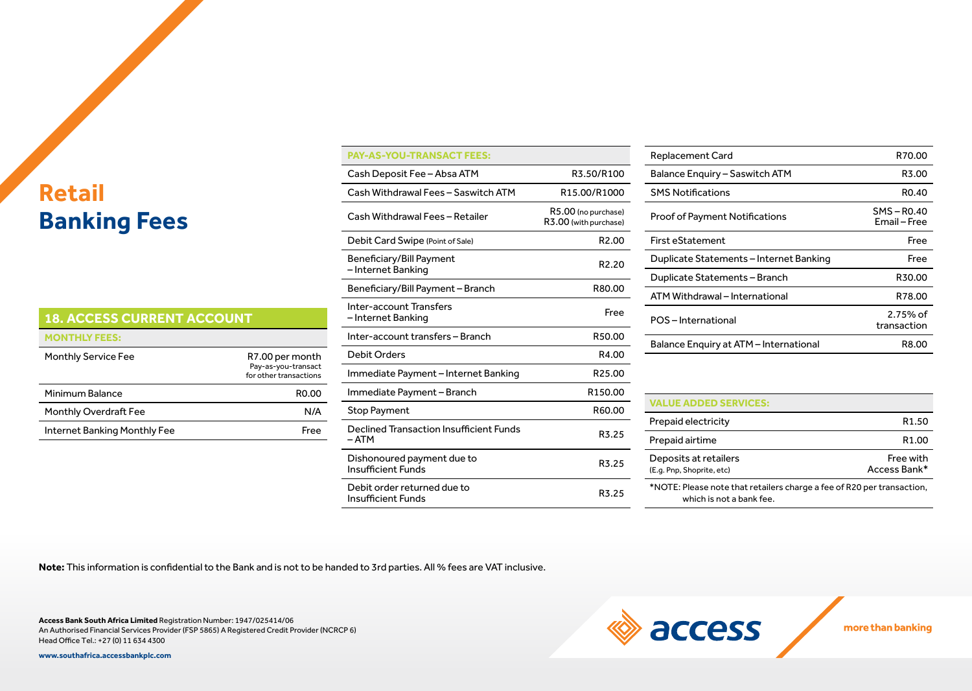# **Retail Banking Fees**

| <b>18. ACCESS CURRENT ACCOUNT</b> |                                                                  |
|-----------------------------------|------------------------------------------------------------------|
| <b>MONTHLY FEES:</b>              |                                                                  |
| <b>Monthly Service Fee</b>        | R7.00 per month<br>Pay-as-you-transact<br>for other transactions |
| Minimum Balance                   | RO.OO                                                            |
| <b>Monthly Overdraft Fee</b>      | N/A                                                              |
| Internet Banking Monthly Fee      | Free                                                             |

| <b>PAY-AS-YOU-TRANSACT FEES:</b>                         |                                              |
|----------------------------------------------------------|----------------------------------------------|
| Cash Deposit Fee - Absa ATM                              | R3.50/R100                                   |
| Cash Withdrawal Fees - Saswitch ATM                      | R15.00/R1000                                 |
| Cash Withdrawal Fees - Retailer                          | R5.00 (no purchase)<br>R3.00 (with purchase) |
| Debit Card Swipe (Point of Sale)                         | R <sub>2.00</sub>                            |
| Beneficiary/Bill Payment<br>– Internet Banking           | R <sub>2.20</sub>                            |
| Beneficiary/Bill Payment - Branch                        | R80.00                                       |
| Inter-account Transfers<br>– Internet Banking            | Free                                         |
| Inter-account transfers - Branch                         | R50.00                                       |
| <b>Debit Orders</b>                                      | R4.00                                        |
| Immediate Payment - Internet Banking                     | R <sub>25.00</sub>                           |
| Immediate Payment – Branch                               | R <sub>150.00</sub>                          |
| <b>Stop Payment</b>                                      | R60.00                                       |
| Declined Transaction Insufficient Funds<br>– ATM         | R3.25                                        |
| Dishonoured payment due to<br><b>Insufficient Funds</b>  | R3.25                                        |
| Debit order returned due to<br><b>Insufficient Funds</b> | R3.25                                        |

| Replacement Card                        | R70.00                        |
|-----------------------------------------|-------------------------------|
| Balance Enguiry - Saswitch ATM          | R3.00                         |
| <b>SMS Notifications</b>                | RO.40                         |
| <b>Proof of Payment Notifications</b>   | $SMS - R0.40$<br>Email – Free |
| <b>First eStatement</b>                 | Free                          |
| Duplicate Statements – Internet Banking | Free                          |
| Duplicate Statements - Branch           | R30.00                        |
| ATM Withdrawal - International          | R78.00                        |
| POS-International                       | 2.75% of<br>transaction       |
| Balance Enquiry at ATM - International  | R8.00                         |
|                                         |                               |

#### **VALUE ADDED SERVICES:**

**Exercise** 

| Prepaid electricity                                                                                | R <sub>1.50</sub>         |
|----------------------------------------------------------------------------------------------------|---------------------------|
| Prepaid airtime                                                                                    | R <sub>1.00</sub>         |
| Deposits at retailers<br>(E.g. Pnp, Shoprite, etc)                                                 | Free with<br>Access Bank* |
| *NOTE: Please note that retailers charge a fee of R20 per transaction,<br>which is not a bank fee. |                           |

more than banking

**Note:** This information is confidential to the Bank and is not to be handed to 3rd parties. All % fees are VAT inclusive.

**Access Bank South Africa Limited** Registration Number: 1947/025414/06 An Authorised Financial Services Provider (FSP 5865) A Registered Credit Provider (NCRCP 6) Head Office Tel.: +27 (0) 11 634 4300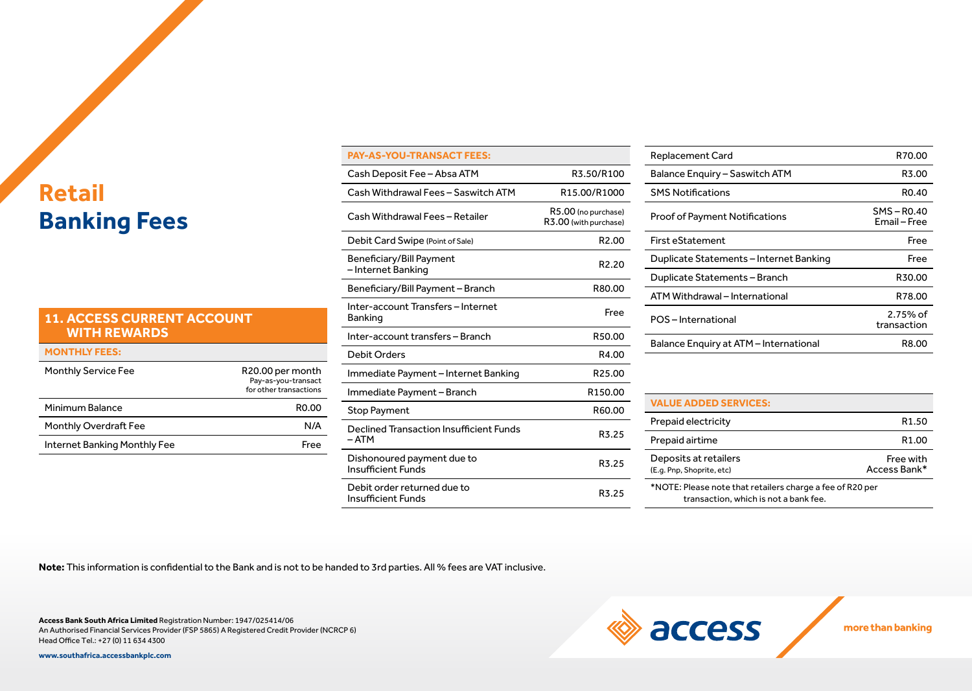# **Retail Banking Fees**

#### **11. ACCESS CURRENT ACCOUNT WITH REWARDS**

| <b>MONTHLY FEES:</b>         |                                                                   |
|------------------------------|-------------------------------------------------------------------|
| <b>Monthly Service Fee</b>   | R20.00 per month<br>Pay-as-you-transact<br>for other transactions |
| Minimum Balance              | RO.00                                                             |
| <b>Monthly Overdraft Fee</b> | N/A                                                               |
| Internet Banking Monthly Fee | Free                                                              |

| <b>PAY-AS-YOU-TRANSACT FEES:</b>                         |                                              |
|----------------------------------------------------------|----------------------------------------------|
| Cash Deposit Fee – Absa ATM                              | R3.50/R100                                   |
| Cash Withdrawal Fees - Saswitch ATM                      | R <sub>15</sub> .00/R <sub>1000</sub>        |
| Cash Withdrawal Fees - Retailer                          | R5.00 (no purchase)<br>R3.00 (with purchase) |
| Debit Card Swipe (Point of Sale)                         | R <sub>2.00</sub>                            |
| Beneficiary/Bill Payment<br>- Internet Banking           | R <sub>2.20</sub>                            |
| Beneficiary/Bill Payment - Branch                        | R80.00                                       |
| Inter-account Transfers - Internet<br><b>Banking</b>     | Free                                         |
| Inter-account transfers - Branch                         | R50.00                                       |
| <b>Debit Orders</b>                                      | R4.00                                        |
| Immediate Payment – Internet Banking                     | R <sub>25.00</sub>                           |
| Immediate Payment – Branch                               | R <sub>150.00</sub>                          |
| <b>Stop Payment</b>                                      | R60.00                                       |
| Declined Transaction Insufficient Funds<br>– ATM         | R3.25                                        |
| Dishonoured payment due to<br><b>Insufficient Funds</b>  | R3.25                                        |
| Debit order returned due to<br><b>Insufficient Funds</b> | R3.25                                        |

| Replacement Card                        | R70.00                      |
|-----------------------------------------|-----------------------------|
| Balance Enguiry - Saswitch ATM          | R3.00                       |
| <b>SMS Notifications</b>                | RO.40                       |
| <b>Proof of Payment Notifications</b>   | $SMS - R0.40$<br>Email-Free |
| <b>First eStatement</b>                 | Free                        |
| Duplicate Statements – Internet Banking | Free                        |
| Duplicate Statements - Branch           | R30.00                      |
| ATM Withdrawal - International          | R78.00                      |
| POS-International                       | $2.75%$ of<br>transaction   |
| Balance Enquiry at ATM - International  | R8.00                       |
|                                         |                             |

#### **VALUE ADDED SERVICES:**

**Exercise Section** 

| Prepaid electricity                                                                                | R <sub>1.50</sub>         |
|----------------------------------------------------------------------------------------------------|---------------------------|
| Prepaid airtime                                                                                    | R <sub>1.00</sub>         |
| Deposits at retailers<br>(E.g. Pnp, Shoprite, etc)                                                 | Free with<br>Access Bank* |
| *NOTE: Please note that retailers charge a fee of R20 per<br>transaction, which is not a bank fee. |                           |

more than banking

**Note:** This information is confidential to the Bank and is not to be handed to 3rd parties. All % fees are VAT inclusive.

**Access Bank South Africa Limited** Registration Number: 1947/025414/06 An Authorised Financial Services Provider (FSP 5865) A Registered Credit Provider (NCRCP 6) Head Office Tel.: +27 (0) 11 634 4300